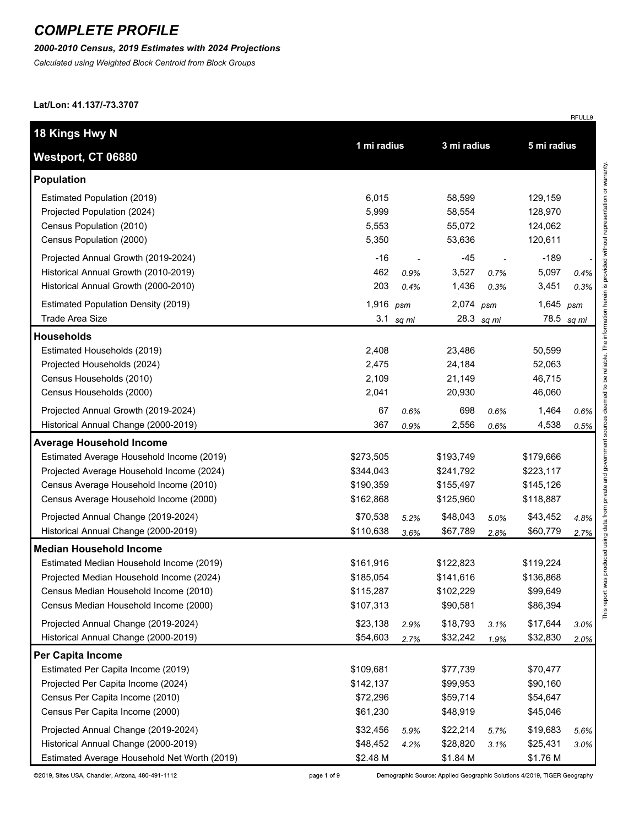#### *2000-2010 Census, 2019 Estimates with 2024 Projections*

*Calculated using Weighted Block Centroid from Block Groups*

**Lat/Lon: 41.137/-73.3707**

| 18 Kings Hwy N                               |             |       | 3 mi radius |            | 5 mi radius |       |
|----------------------------------------------|-------------|-------|-------------|------------|-------------|-------|
| Westport, CT 06880                           | 1 mi radius |       |             |            |             |       |
| <b>Population</b>                            |             |       |             |            |             |       |
| Estimated Population (2019)                  | 6,015       |       | 58,599      |            | 129,159     |       |
| Projected Population (2024)                  | 5,999       |       | 58,554      |            | 128,970     |       |
| Census Population (2010)                     | 5,553       |       | 55,072      |            | 124,062     |       |
| Census Population (2000)                     | 5,350       |       | 53,636      |            | 120,611     |       |
| Projected Annual Growth (2019-2024)          | $-16$       |       | $-45$       |            | $-189$      |       |
| Historical Annual Growth (2010-2019)         | 462         | 0.9%  | 3,527       | 0.7%       | 5,097       | 0.4%  |
| Historical Annual Growth (2000-2010)         | 203         | 0.4%  | 1,436       | 0.3%       | 3,451       | 0.3%  |
| <b>Estimated Population Density (2019)</b>   | 1,916       | psm   | $2,074$ psm |            | 1,645       | psm   |
| <b>Trade Area Size</b>                       | 3.1         | sq mi |             | 28.3 sq mi | 78.5        | sq mi |
| <b>Households</b>                            |             |       |             |            |             |       |
| Estimated Households (2019)                  | 2,408       |       | 23,486      |            | 50,599      |       |
| Projected Households (2024)                  | 2,475       |       | 24,184      |            | 52,063      |       |
| Census Households (2010)                     | 2,109       |       | 21,149      |            | 46,715      |       |
| Census Households (2000)                     | 2,041       |       | 20,930      |            | 46,060      |       |
| Projected Annual Growth (2019-2024)          | 67          | 0.6%  | 698         | 0.6%       | 1,464       | 0.6%  |
| Historical Annual Change (2000-2019)         | 367         | 0.9%  | 2,556       | 0.6%       | 4,538       | 0.5%  |
| <b>Average Household Income</b>              |             |       |             |            |             |       |
| Estimated Average Household Income (2019)    | \$273,505   |       | \$193,749   |            | \$179,666   |       |
| Projected Average Household Income (2024)    | \$344,043   |       | \$241,792   |            | \$223,117   |       |
| Census Average Household Income (2010)       | \$190,359   |       | \$155,497   |            | \$145,126   |       |
| Census Average Household Income (2000)       | \$162,868   |       | \$125,960   |            | \$118,887   |       |
| Projected Annual Change (2019-2024)          | \$70,538    | 5.2%  | \$48,043    | 5.0%       | \$43,452    | 4.8%  |
| Historical Annual Change (2000-2019)         | \$110,638   | 3.6%  | \$67,789    | 2.8%       | \$60,779    | 2.7%  |
| <b>Median Household Income</b>               |             |       |             |            |             |       |
| Estimated Median Household Income (2019)     | \$161,916   |       | \$122,823   |            | \$119,224   |       |
| Projected Median Household Income (2024)     | \$185,054   |       | \$141,616   |            | \$136,868   |       |
| Census Median Household Income (2010)        | \$115,287   |       | \$102,229   |            | \$99,649    |       |
| Census Median Household Income (2000)        | \$107,313   |       | \$90,581    |            | \$86,394    |       |
| Projected Annual Change (2019-2024)          | \$23,138    | 2.9%  | \$18,793    | 3.1%       | \$17,644    | 3.0%  |
| Historical Annual Change (2000-2019)         | \$54,603    | 2.7%  | \$32,242    | 1.9%       | \$32,830    | 2.0%  |
| Per Capita Income                            |             |       |             |            |             |       |
| Estimated Per Capita Income (2019)           | \$109,681   |       | \$77,739    |            | \$70,477    |       |
| Projected Per Capita Income (2024)           | \$142,137   |       | \$99,953    |            | \$90,160    |       |
| Census Per Capita Income (2010)              | \$72,296    |       | \$59,714    |            | \$54,647    |       |
| Census Per Capita Income (2000)              | \$61,230    |       | \$48,919    |            | \$45,046    |       |
| Projected Annual Change (2019-2024)          | \$32,456    | 5.9%  | \$22,214    | 5.7%       | \$19,683    | 5.6%  |
| Historical Annual Change (2000-2019)         | \$48,452    | 4.2%  | \$28,820    | 3.1%       | \$25,431    | 3.0%  |
| Estimated Average Household Net Worth (2019) | \$2.48 M    |       | \$1.84 M    |            | \$1.76 M    |       |

©2019, Sites USA, Chandler, Arizona, 480-491-1112

page 1 of 9

Demographic Source: Applied Geographic Solutions 4/2019, TIGER Geography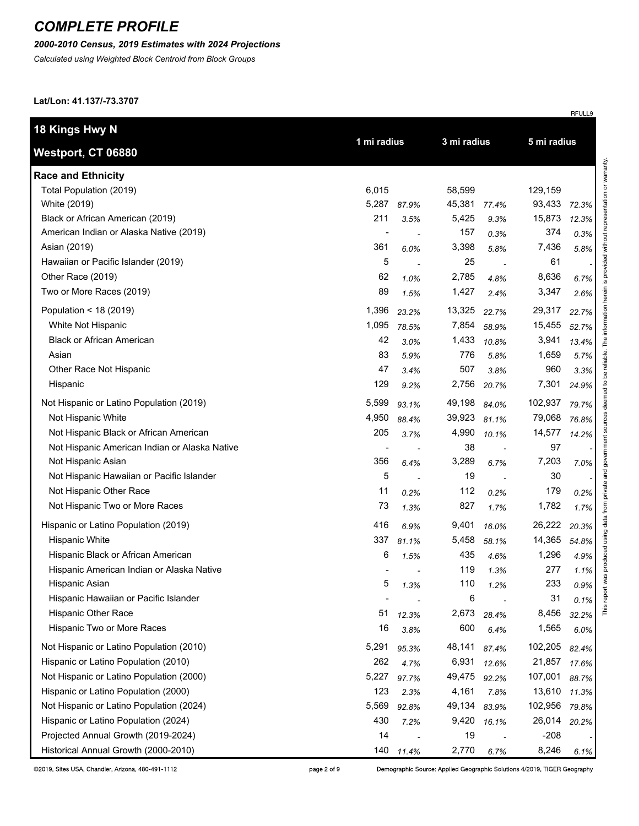### *2000-2010 Census, 2019 Estimates with 2024 Projections*

*Calculated using Weighted Block Centroid from Block Groups*

**Lat/Lon: 41.137/-73.3707**

| 18 Kings Hwy N                                |                |       |             |       |             |       |  |
|-----------------------------------------------|----------------|-------|-------------|-------|-------------|-------|--|
| <b>Westport, CT 06880</b>                     | 1 mi radius    |       | 3 mi radius |       | 5 mi radius |       |  |
| <b>Race and Ethnicity</b>                     |                |       |             |       |             |       |  |
| Total Population (2019)                       | 6,015          |       | 58,599      |       | 129,159     |       |  |
| White (2019)                                  | 5,287          | 87.9% | 45,381      | 77.4% | 93,433      | 72.3% |  |
| Black or African American (2019)              | 211            | 3.5%  | 5,425       | 9.3%  | 15,873      | 12.3% |  |
| American Indian or Alaska Native (2019)       | $\overline{a}$ |       | 157         | 0.3%  | 374         | 0.3%  |  |
| Asian (2019)                                  | 361            | 6.0%  | 3,398       | 5.8%  | 7,436       | 5.8%  |  |
| Hawaiian or Pacific Islander (2019)           | 5              |       | 25          |       | 61          |       |  |
| Other Race (2019)                             | 62             | 1.0%  | 2,785       | 4.8%  | 8,636       | 6.7%  |  |
| Two or More Races (2019)                      | 89             | 1.5%  | 1,427       | 2.4%  | 3,347       | 2.6%  |  |
| Population < 18 (2019)                        | 1,396          | 23.2% | 13,325      | 22.7% | 29,317      | 22.7% |  |
| White Not Hispanic                            | 1,095          | 78.5% | 7,854       | 58.9% | 15,455      | 52.7% |  |
| <b>Black or African American</b>              | 42             | 3.0%  | 1,433       | 10.8% | 3,941       | 13.4% |  |
| Asian                                         | 83             | 5.9%  | 776         | 5.8%  | 1,659       | 5.7%  |  |
| Other Race Not Hispanic                       | 47             | 3.4%  | 507         | 3.8%  | 960         | 3.3%  |  |
| Hispanic                                      | 129            | 9.2%  | 2,756       | 20.7% | 7,301       | 24.9% |  |
| Not Hispanic or Latino Population (2019)      | 5,599          | 93.1% | 49,198      | 84.0% | 102,937     | 79.7% |  |
| Not Hispanic White                            | 4,950          | 88.4% | 39,923      | 81.1% | 79,068      | 76.8% |  |
| Not Hispanic Black or African American        | 205            | 3.7%  | 4,990       | 10.1% | 14,577      | 14.2% |  |
| Not Hispanic American Indian or Alaska Native | $\blacksquare$ |       | 38          |       | 97          |       |  |
| Not Hispanic Asian                            | 356            | 6.4%  | 3,289       | 6.7%  | 7,203       | 7.0%  |  |
| Not Hispanic Hawaiian or Pacific Islander     | 5              |       | 19          |       | 30          |       |  |
| Not Hispanic Other Race                       | 11             | 0.2%  | 112         | 0.2%  | 179         | 0.2%  |  |
| Not Hispanic Two or More Races                | 73             | 1.3%  | 827         | 1.7%  | 1,782       | 1.7%  |  |
| Hispanic or Latino Population (2019)          | 416            | 6.9%  | 9,401       | 16.0% | 26,222      | 20.3% |  |
| <b>Hispanic White</b>                         | 337            | 81.1% | 5,458       | 58.1% | 14,365      | 54.8% |  |
| Hispanic Black or African American            | 6              | 1.5%  | 435         | 4.6%  | 1,296       | 4.9%  |  |
| Hispanic American Indian or Alaska Native     |                |       | 119         | 1.3%  | 277         | 1.1%  |  |
| Hispanic Asian                                | 5              | 1.3%  | 110         | 1.2%  | 233         | 0.9%  |  |
| Hispanic Hawaiian or Pacific Islander         |                |       | 6           |       | 31          | 0.1%  |  |
| Hispanic Other Race                           | 51             | 12.3% | 2,673       | 28.4% | 8,456       | 32.2% |  |
| Hispanic Two or More Races                    | 16             | 3.8%  | 600         | 6.4%  | 1,565       | 6.0%  |  |
| Not Hispanic or Latino Population (2010)      | 5,291          | 95.3% | 48,141      | 87.4% | 102,205     | 82.4% |  |
| Hispanic or Latino Population (2010)          | 262            | 4.7%  | 6,931       | 12.6% | 21,857      | 17.6% |  |
| Not Hispanic or Latino Population (2000)      | 5,227          | 97.7% | 49,475      | 92.2% | 107,001     | 88.7% |  |
| Hispanic or Latino Population (2000)          | 123            | 2.3%  | 4,161       | 7.8%  | 13,610      | 11.3% |  |
| Not Hispanic or Latino Population (2024)      | 5,569          | 92.8% | 49,134      | 83.9% | 102,956     | 79.8% |  |
| Hispanic or Latino Population (2024)          | 430            | 7.2%  | 9,420       | 16.1% | 26,014      | 20.2% |  |
| Projected Annual Growth (2019-2024)           | 14             |       | 19          |       | $-208$      |       |  |
| Historical Annual Growth (2000-2010)          | 140            | 11.4% | 2,770       | 6.7%  | 8,246       | 6.1%  |  |

page 2 of 9

Demographic Source: Applied Geographic Solutions 4/2019, TIGER Geography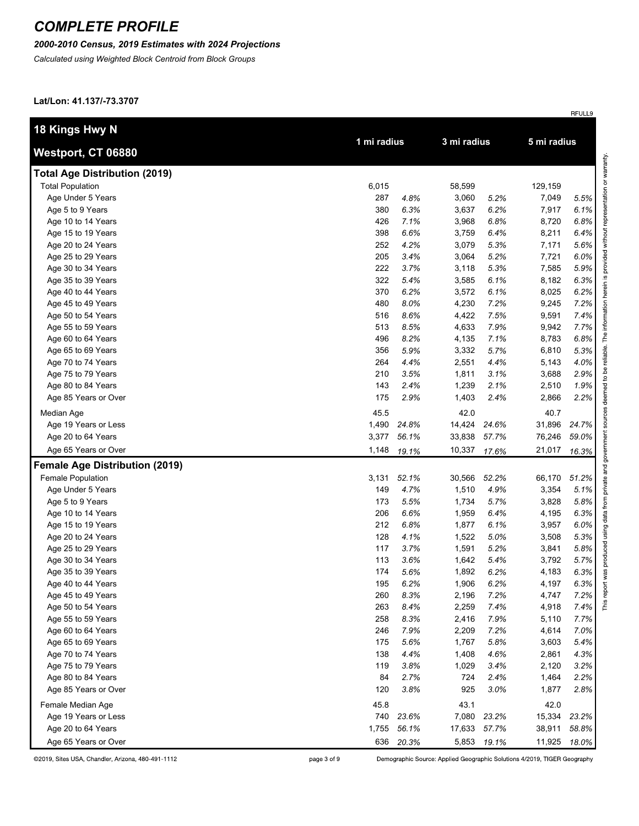#### *2000-2010 Census, 2019 Estimates with 2024 Projections*

*Calculated using Weighted Block Centroid from Block Groups*

**Lat/Lon: 41.137/-73.3707**

| 18 Kings Hwy N                        |             |       |             |             |             |       |
|---------------------------------------|-------------|-------|-------------|-------------|-------------|-------|
| Westport, CT 06880                    | 1 mi radius |       | 3 mi radius |             | 5 mi radius |       |
| <b>Total Age Distribution (2019)</b>  |             |       |             |             |             |       |
| <b>Total Population</b>               | 6,015       |       | 58,599      |             | 129,159     |       |
| Age Under 5 Years                     | 287         | 4.8%  | 3,060       | 5.2%        | 7,049       | 5.5%  |
| Age 5 to 9 Years                      | 380         | 6.3%  | 3,637       | 6.2%        | 7,917       | 6.1%  |
| Age 10 to 14 Years                    | 426         | 7.1%  | 3,968       | 6.8%        | 8,720       | 6.8%  |
| Age 15 to 19 Years                    | 398         | 6.6%  | 3,759       | 6.4%        | 8,211       | 6.4%  |
| Age 20 to 24 Years                    | 252         | 4.2%  | 3,079       | 5.3%        | 7,171       | 5.6%  |
| Age 25 to 29 Years                    | 205         | 3.4%  | 3,064       | 5.2%        | 7,721       | 6.0%  |
| Age 30 to 34 Years                    | 222         | 3.7%  | 3,118       | 5.3%        | 7,585       | 5.9%  |
| Age 35 to 39 Years                    | 322         | 5.4%  | 3,585       | 6.1%        | 8,182       | 6.3%  |
| Age 40 to 44 Years                    | 370         | 6.2%  | 3,572       | 6.1%        | 8,025       | 6.2%  |
| Age 45 to 49 Years                    | 480         | 8.0%  | 4,230       | 7.2%        | 9,245       | 7.2%  |
| Age 50 to 54 Years                    | 516         | 8.6%  | 4,422       | 7.5%        | 9,591       | 7.4%  |
| Age 55 to 59 Years                    | 513         | 8.5%  | 4,633       | 7.9%        | 9,942       | 7.7%  |
| Age 60 to 64 Years                    | 496         | 8.2%  | 4,135       | 7.1%        | 8,783       | 6.8%  |
| Age 65 to 69 Years                    | 356         | 5.9%  | 3,332       | 5.7%        | 6,810       | 5.3%  |
| Age 70 to 74 Years                    | 264         | 4.4%  | 2,551       | 4.4%        | 5,143       | 4.0%  |
| Age 75 to 79 Years                    | 210         | 3.5%  | 1,811       | 3.1%        | 3,688       | 2.9%  |
| Age 80 to 84 Years                    | 143         | 2.4%  | 1,239       | 2.1%        | 2,510       | 1.9%  |
| Age 85 Years or Over                  | 175         | 2.9%  | 1,403       | 2.4%        | 2,866       | 2.2%  |
| Median Age                            | 45.5        |       | 42.0        |             | 40.7        |       |
| Age 19 Years or Less                  | 1,490       | 24.8% | 14,424      | 24.6%       | 31,896      | 24.7% |
| Age 20 to 64 Years                    | 3,377       | 56.1% | 33,838      | 57.7%       | 76,246      | 59.0% |
| Age 65 Years or Over                  | 1,148       | 19.1% | 10,337      | 17.6%       | 21,017      | 16.3% |
| <b>Female Age Distribution (2019)</b> |             |       |             |             |             |       |
| <b>Female Population</b>              | 3,131       | 52.1% | 30,566      | 52.2%       | 66,170      | 51.2% |
| Age Under 5 Years                     | 149         | 4.7%  | 1,510       | 4.9%        | 3,354       | 5.1%  |
| Age 5 to 9 Years                      | 173         | 5.5%  | 1,734       | 5.7%        | 3,828       | 5.8%  |
| Age 10 to 14 Years                    | 206         | 6.6%  | 1,959       | 6.4%        | 4,195       | 6.3%  |
| Age 15 to 19 Years                    | 212         | 6.8%  | 1,877       | 6.1%        | 3,957       | 6.0%  |
| Age 20 to 24 Years                    | 128         | 4.1%  | 1,522       | 5.0%        | 3,508       | 5.3%  |
| Age 25 to 29 Years                    | 117         | 3.7%  | 1,591       | 5.2%        | 3,841       | 5.8%  |
| Age 30 to 34 Years                    | 113         | 3.6%  | 1,642       | 5.4%        | 3,792       | 5.7%  |
| Age 35 to 39 Years                    | 174         | 5.6%  | 1,892       | 6.2%        | 4,183       | 6.3%  |
| Age 40 to 44 Years                    | 195         | 6.2%  | 1,906       | 6.2%        | 4,197       | 6.3%  |
| Age 45 to 49 Years                    | 260         | 8.3%  | 2,196       | 7.2%        | 4,747       | 7.2%  |
| Age 50 to 54 Years                    | 263         | 8.4%  | 2,259       | 7.4%        | 4,918       | 7.4%  |
| Age 55 to 59 Years                    | 258         | 8.3%  | 2,416       | 7.9%        | 5,110       | 7.7%  |
| Age 60 to 64 Years                    | 246         | 7.9%  | 2,209       | 7.2%        | 4,614       | 7.0%  |
| Age 65 to 69 Years                    | 175         | 5.6%  | 1,767       | 5.8%        | 3,603       | 5.4%  |
| Age 70 to 74 Years                    | 138         | 4.4%  | 1,408       | 4.6%        | 2,861       | 4.3%  |
| Age 75 to 79 Years                    | 119         | 3.8%  | 1,029       | 3.4%        | 2,120       | 3.2%  |
| Age 80 to 84 Years                    | 84          | 2.7%  | 724         | 2.4%        | 1,464       | 2.2%  |
| Age 85 Years or Over                  | 120         | 3.8%  | 925         | 3.0%        | 1,877       | 2.8%  |
| Female Median Age                     | 45.8        |       | 43.1        |             | 42.0        |       |
| Age 19 Years or Less                  | 740         | 23.6% | 7,080       | 23.2%       | 15,334      | 23.2% |
| Age 20 to 64 Years                    | 1,755       | 56.1% | 17,633      | 57.7%       | 38,911      | 58.8% |
| Age 65 Years or Over                  | 636         | 20.3% |             | 5,853 19.1% | 11,925      | 18.0% |

page 3 of 9

Demographic Source: Applied Geographic Solutions 4/2019, TIGER Geography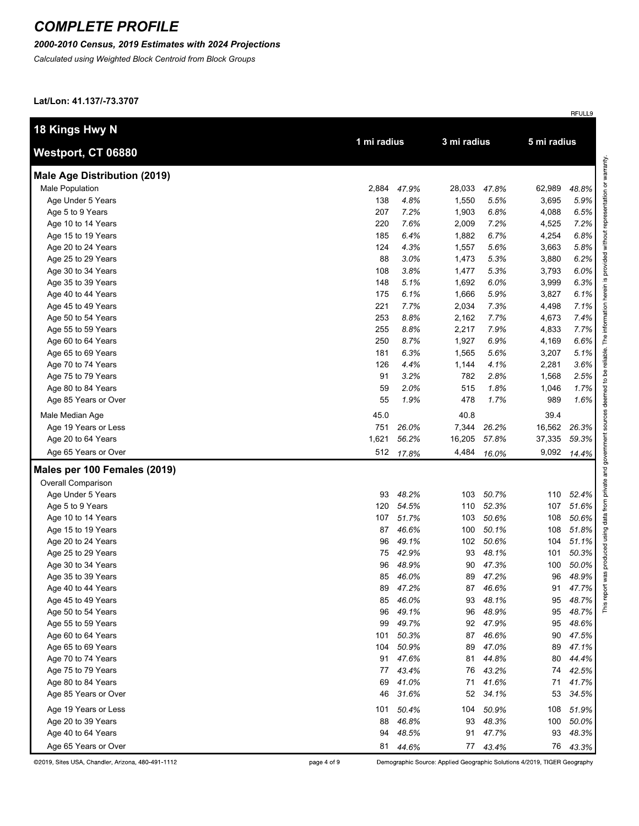#### *2000-2010 Census, 2019 Estimates with 2024 Projections*

*Calculated using Weighted Block Centroid from Block Groups*

**Lat/Lon: 41.137/-73.3707**

|                                     |             |          |             |          |             | RFULL9 |
|-------------------------------------|-------------|----------|-------------|----------|-------------|--------|
| 18 Kings Hwy N                      |             |          |             |          |             |        |
| Westport, CT 06880                  | 1 mi radius |          | 3 mi radius |          | 5 mi radius |        |
| <b>Male Age Distribution (2019)</b> |             |          |             |          |             |        |
| <b>Male Population</b>              | 2,884       | 47.9%    | 28,033      | 47.8%    | 62,989      | 48.8%  |
| Age Under 5 Years                   | 138         | 4.8%     | 1,550       | 5.5%     | 3,695       | 5.9%   |
| Age 5 to 9 Years                    | 207         | 7.2%     | 1,903       | 6.8%     | 4,088       | 6.5%   |
| Age 10 to 14 Years                  | 220         | 7.6%     | 2,009       | 7.2%     | 4,525       | 7.2%   |
| Age 15 to 19 Years                  | 185         | 6.4%     | 1,882       | 6.7%     | 4,254       | 6.8%   |
| Age 20 to 24 Years                  | 124         | 4.3%     | 1,557       | 5.6%     | 3,663       | 5.8%   |
| Age 25 to 29 Years                  | 88          | 3.0%     | 1,473       | 5.3%     | 3,880       | 6.2%   |
| Age 30 to 34 Years                  | 108         | 3.8%     | 1,477       | 5.3%     | 3,793       | 6.0%   |
| Age 35 to 39 Years                  | 148         | 5.1%     | 1,692       | 6.0%     | 3,999       | 6.3%   |
| Age 40 to 44 Years                  | 175         | 6.1%     | 1,666       | 5.9%     | 3,827       | 6.1%   |
| Age 45 to 49 Years                  | 221         | 7.7%     | 2,034       | 7.3%     | 4,498       | 7.1%   |
| Age 50 to 54 Years                  | 253         | 8.8%     | 2,162       | 7.7%     | 4,673       | 7.4%   |
| Age 55 to 59 Years                  | 255         | 8.8%     | 2,217       | 7.9%     | 4,833       | 7.7%   |
| Age 60 to 64 Years                  | 250         | 8.7%     | 1,927       | 6.9%     | 4,169       | 6.6%   |
| Age 65 to 69 Years                  | 181         | 6.3%     | 1,565       | 5.6%     | 3,207       | 5.1%   |
| Age 70 to 74 Years                  | 126         | 4.4%     | 1,144       | 4.1%     | 2,281       | 3.6%   |
| Age 75 to 79 Years                  | 91          | 3.2%     | 782         | 2.8%     | 1,568       | 2.5%   |
| Age 80 to 84 Years                  | 59          | 2.0%     | 515         | 1.8%     | 1,046       | 1.7%   |
| Age 85 Years or Over                | 55          | 1.9%     | 478         | 1.7%     | 989         | 1.6%   |
| Male Median Age                     | 45.0        |          | 40.8        |          | 39.4        |        |
| Age 19 Years or Less                | 751         | 26.0%    | 7,344       | 26.2%    | 16,562      | 26.3%  |
| Age 20 to 64 Years                  | 1,621       | 56.2%    | 16,205      | 57.8%    | 37,335      | 59.3%  |
| Age 65 Years or Over                | 512         | 17.8%    | 4,484       | 16.0%    | 9,092       | 14.4%  |
| Males per 100 Females (2019)        |             |          |             |          |             |        |
| Overall Comparison                  |             |          |             |          |             |        |
| Age Under 5 Years                   | 93          | 48.2%    | 103         | 50.7%    | 110         | 52.4%  |
| Age 5 to 9 Years                    | 120         | 54.5%    | 110         | 52.3%    | 107         | 51.6%  |
| Age 10 to 14 Years                  | 107         | 51.7%    | 103         | 50.6%    | 108         | 50.6%  |
| Age 15 to 19 Years                  | 87          | 46.6%    | 100         | 50.1%    | 108         | 51.8%  |
| Age 20 to 24 Years                  | 96          | 49.1%    | 102         | 50.6%    | 104         | 51.1%  |
| Age 25 to 29 Years                  | 75          | 42.9%    | 93          | 48.1%    | 101         | 50.3%  |
| Age 30 to 34 Years                  | 96          | 48.9%    | 90          | 47.3%    | 100         | 50.0%  |
| Age 35 to 39 Years                  |             | 85 46.0% | 89          | 47.2%    | 96          | 48.9%  |
| Age 40 to 44 Years                  | 89          | 47.2%    | 87          | 46.6%    | 91          | 47.7%  |
| Age 45 to 49 Years                  | 85          | 46.0%    | 93          | 48.1%    | 95          | 48.7%  |
| Age 50 to 54 Years                  | 96          | 49.1%    | 96          | 48.9%    | 95          | 48.7%  |
| Age 55 to 59 Years                  | 99          | 49.7%    | 92          | 47.9%    | 95          | 48.6%  |
| Age 60 to 64 Years                  | 101         | 50.3%    | 87          | 46.6%    | 90          | 47.5%  |
| Age 65 to 69 Years                  | 104         | 50.9%    | 89          | 47.0%    | 89          | 47.1%  |
| Age 70 to 74 Years                  | 91          | 47.6%    | 81          | 44.8%    | 80          | 44.4%  |
| Age 75 to 79 Years                  | 77          | 43.4%    | 76          | 43.2%    | 74          | 42.5%  |
| Age 80 to 84 Years                  | 69          | 41.0%    | 71          | 41.6%    | 71          | 41.7%  |
| Age 85 Years or Over                | 46          | 31.6%    | 52          | 34.1%    | 53          | 34.5%  |
| Age 19 Years or Less                | 101         | 50.4%    | 104         | 50.9%    | 108         | 51.9%  |
| Age 20 to 39 Years                  | 88          | 46.8%    | 93          | 48.3%    | 100         | 50.0%  |
| Age 40 to 64 Years                  | 94          | 48.5%    | 91          | 47.7%    | 93          | 48.3%  |
| Age 65 Years or Over                | 81          |          |             |          | 76          |        |
|                                     |             | 44.6%    |             | 77 43.4% |             | 43.3%  |

©2019, Sites USA, Chandler, Arizona, 480-491-1112

page 4 of 9

Demographic Source: Applied Geographic Solutions 4/2019, TIGER Geography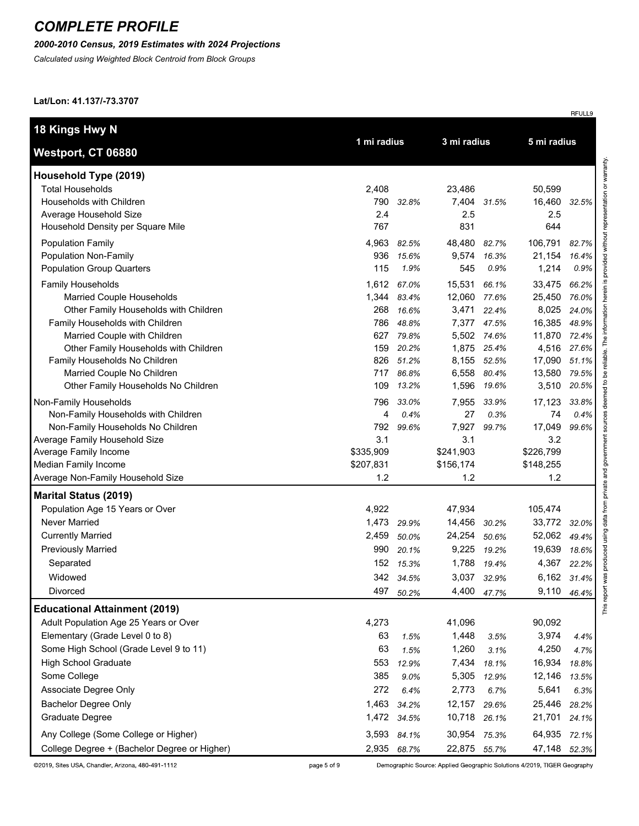### *2000-2010 Census, 2019 Estimates with 2024 Projections*

*Calculated using Weighted Block Centroid from Block Groups*

**Lat/Lon: 41.137/-73.3707**

| 18 Kings Hwy N                                                                                                                                                                                                                                                    |                                                     |                                                            | 3 mi radius                                                    |                                                            |                                                                   |                                                            |
|-------------------------------------------------------------------------------------------------------------------------------------------------------------------------------------------------------------------------------------------------------------------|-----------------------------------------------------|------------------------------------------------------------|----------------------------------------------------------------|------------------------------------------------------------|-------------------------------------------------------------------|------------------------------------------------------------|
| Westport, CT 06880                                                                                                                                                                                                                                                |                                                     | 1 mi radius                                                |                                                                |                                                            | 5 mi radius                                                       |                                                            |
| Household Type (2019)<br><b>Total Households</b><br>Households with Children<br>Average Household Size<br>Household Density per Square Mile                                                                                                                       | 2,408<br>790<br>2.4<br>767                          | 32.8%                                                      | 23,486<br>7,404 31.5%<br>2.5<br>831                            |                                                            | 50,599<br>16,460<br>2.5<br>644                                    | 32.5%                                                      |
| <b>Population Family</b><br>Population Non-Family<br><b>Population Group Quarters</b><br>Family Households<br>Married Couple Households<br>Other Family Households with Children<br>Family Households with Children                                               | 4,963<br>936<br>115<br>1,612<br>1,344<br>268<br>786 | 82.5%<br>15.6%<br>1.9%<br>67.0%<br>83.4%<br>16.6%<br>48.8% | 48,480<br>9,574<br>545<br>15,531<br>12,060<br>3,471<br>7,377   | 82.7%<br>16.3%<br>0.9%<br>66.1%<br>77.6%<br>22.4%<br>47.5% | 106,791<br>21,154<br>1,214<br>33,475<br>25,450<br>8,025<br>16,385 | 82.7%<br>16.4%<br>0.9%<br>66.2%<br>76.0%<br>24.0%<br>48.9% |
| Married Couple with Children<br>Other Family Households with Children<br>Family Households No Children<br>Married Couple No Children<br>Other Family Households No Children<br>Non-Family Households                                                              | 627<br>159<br>826<br>717<br>109<br>796              | 79.8%<br>20.2%<br>51.2%<br>86.8%<br>13.2%<br>33.0%         | 8,155 52.5%<br>6,558<br>1,596<br>7,955                         | 5,502 74.6%<br>1,875 25.4%<br>80.4%<br>19.6%<br>33.9%      | 11,870<br>4,516<br>17,090<br>13,580<br>3,510<br>17,123            | 72.4%<br>27.6%<br>51.1%<br>79.5%<br>20.5%<br>33.8%         |
| Non-Family Households with Children<br>Non-Family Households No Children<br>Average Family Household Size<br>Average Family Income<br>Median Family Income<br>Average Non-Family Household Size                                                                   | 4<br>792<br>3.1<br>\$335,909<br>\$207,831<br>1.2    | 0.4%<br>99.6%                                              | 27<br>7,927<br>3.1<br>\$241,903<br>\$156,174<br>1.2            | 0.3%<br>99.7%                                              | 74<br>17,049<br>3.2<br>\$226,799<br>\$148,255<br>1.2              | 0.4%<br>99.6%                                              |
| <b>Marital Status (2019)</b>                                                                                                                                                                                                                                      |                                                     |                                                            |                                                                |                                                            |                                                                   |                                                            |
| Population Age 15 Years or Over<br>Never Married<br><b>Currently Married</b><br><b>Previously Married</b><br>Separated<br>Widowed<br>Divorced                                                                                                                     | 4,922<br>1,473<br>2,459<br>990<br>152<br>497        | 29.9%<br>50.0%<br>20.1%<br>15.3%<br>342 34.5%<br>50.2%     | 47,934<br>14,456<br>24,254<br>9,225<br>1,788<br>3,037<br>4,400 | 30.2%<br>50.6%<br>19.2%<br>19.4%<br>32.9%<br>47.7%         | 105,474<br>33,772<br>52,062<br>19,639<br>4,367<br>6,162<br>9,110  | 32.0%<br>49.4%<br>18.6%<br>22.2%<br>31.4%<br>46.4%         |
| <b>Educational Attainment (2019)</b><br>Adult Population Age 25 Years or Over<br>Elementary (Grade Level 0 to 8)<br>Some High School (Grade Level 9 to 11)<br><b>High School Graduate</b><br>Some College<br>Associate Degree Only<br><b>Bachelor Degree Only</b> | 4,273<br>63<br>63<br>553<br>385<br>272<br>1,463     | 1.5%<br>1.5%<br>12.9%<br>9.0%<br>6.4%<br>34.2%             | 41,096<br>1,448<br>1,260<br>7,434<br>5,305<br>2,773<br>12,157  | 3.5%<br>3.1%<br>18.1%<br>12.9%<br>6.7%                     | 90,092<br>3,974<br>4,250<br>16,934<br>12,146<br>5,641<br>25,446   | 4.4%<br>4.7%<br>18.8%<br>13.5%<br>6.3%                     |
| Graduate Degree<br>Any College (Some College or Higher)<br>College Degree + (Bachelor Degree or Higher)                                                                                                                                                           | 1,472<br>3,593<br>2,935                             | 34.5%<br>84.1%<br>68.7%                                    | 10,718<br>30,954<br>22,875 55.7%                               | 29.6%<br>26.1%<br>75.3%                                    | 21,701<br>64,935<br>47,148                                        | 28.2%<br>24.1%<br>72.1%<br>52.3%                           |

page 5 of 9

Demographic Source: Applied Geographic Solutions 4/2019, TIGER Geography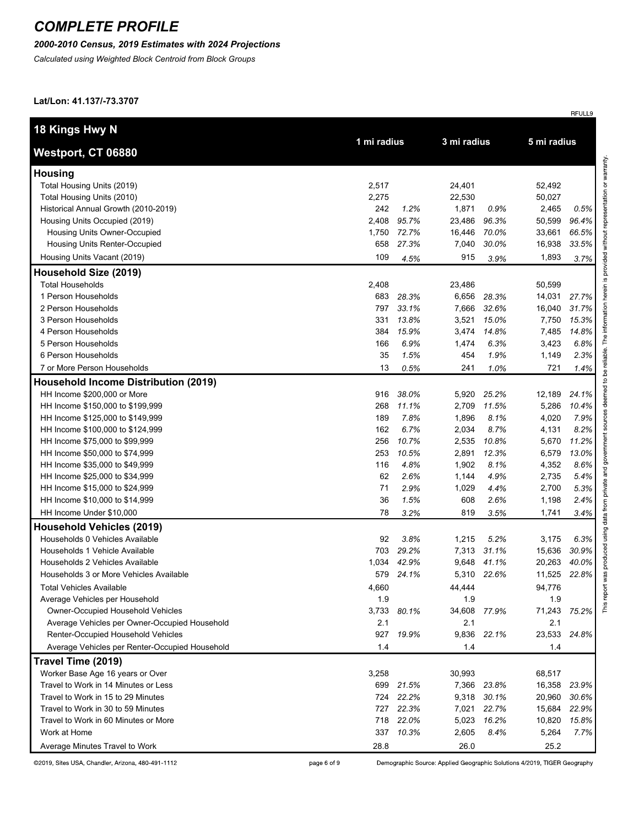### *2000-2010 Census, 2019 Estimates with 2024 Projections*

*Calculated using Weighted Block Centroid from Block Groups*

**Lat/Lon: 41.137/-73.3707**

| 18 Kings Hwy N                                 |             |       |             |             |             |       |
|------------------------------------------------|-------------|-------|-------------|-------------|-------------|-------|
| Westport, CT 06880                             | 1 mi radius |       | 3 mi radius |             | 5 mi radius |       |
| <b>Housing</b>                                 |             |       |             |             |             |       |
| Total Housing Units (2019)                     | 2,517       |       | 24,401      |             | 52,492      |       |
| Total Housing Units (2010)                     | 2,275       |       | 22,530      |             | 50,027      |       |
| Historical Annual Growth (2010-2019)           | 242         | 1.2%  | 1,871       | 0.9%        | 2,465       | 0.5%  |
| Housing Units Occupied (2019)                  | 2,408       | 95.7% | 23,486      | 96.3%       | 50,599      | 96.4% |
| Housing Units Owner-Occupied                   | 1,750       | 72.7% | 16,446      | 70.0%       | 33,661      | 66.5% |
| Housing Units Renter-Occupied                  | 658         | 27.3% | 7,040       | 30.0%       | 16,938      | 33.5% |
| Housing Units Vacant (2019)                    | 109         | 4.5%  | 915         | 3.9%        | 1,893       | 3.7%  |
| Household Size (2019)                          |             |       |             |             |             |       |
| <b>Total Households</b>                        | 2,408       |       | 23,486      |             | 50,599      |       |
| 1 Person Households                            | 683         | 28.3% | 6,656       | 28.3%       | 14,031      | 27.7% |
| 2 Person Households                            | 797         | 33.1% | 7,666       | 32.6%       | 16,040      | 31.7% |
| 3 Person Households                            | 331         | 13.8% | 3,521       | 15.0%       | 7,750       | 15.3% |
| 4 Person Households                            | 384         | 15.9% | 3,474       | 14.8%       | 7,485       | 14.8% |
| 5 Person Households                            | 166         | 6.9%  | 1,474       | 6.3%        | 3,423       | 6.8%  |
| 6 Person Households                            | 35          | 1.5%  | 454         | 1.9%        | 1,149       | 2.3%  |
| 7 or More Person Households                    | 13          | 0.5%  | 241         | 1.0%        | 721         | 1.4%  |
| <b>Household Income Distribution (2019)</b>    |             |       |             |             |             |       |
| HH Income \$200,000 or More                    | 916         | 38.0% | 5,920       | 25.2%       | 12,189      | 24.1% |
| HH Income \$150,000 to \$199,999               | 268         | 11.1% | 2,709       | 11.5%       | 5,286       | 10.4% |
| HH Income \$125,000 to \$149,999               | 189         | 7.8%  | 1,896       | 8.1%        | 4,020       | 7.9%  |
| HH Income \$100,000 to \$124,999               | 162         | 6.7%  | 2,034       | 8.7%        | 4,131       | 8.2%  |
| HH Income \$75,000 to \$99,999                 | 256         | 10.7% | 2,535       | 10.8%       | 5,670       | 11.2% |
| HH Income \$50,000 to \$74,999                 | 253         | 10.5% | 2,891       | 12.3%       | 6,579       | 13.0% |
| HH Income \$35,000 to \$49,999                 | 116         | 4.8%  | 1,902       | 8.1%        | 4,352       | 8.6%  |
| HH Income \$25,000 to \$34,999                 | 62          | 2.6%  | 1,144       | 4.9%        | 2,735       | 5.4%  |
| HH Income \$15,000 to \$24,999                 | 71          | 2.9%  | 1,029       | 4.4%        | 2,700       | 5.3%  |
| HH Income \$10,000 to \$14,999                 | 36          | 1.5%  | 608         | 2.6%        | 1,198       | 2.4%  |
| HH Income Under \$10,000                       | 78          | 3.2%  | 819         | 3.5%        | 1,741       | 3.4%  |
| <b>Household Vehicles (2019)</b>               |             |       |             |             |             |       |
| Households 0 Vehicles Available                | 92          | 3.8%  | 1,215       | 5.2%        | 3,175       | 6.3%  |
| Households 1 Vehicle Available                 | 703         | 29.2% | 7,313       | 31.1%       | 15,636      | 30.9% |
| Households 2 Vehicles Available                | 1,034       | 42.9% | 9,648       | 41.1%       | 20,263      | 40.0% |
| Households 3 or More Vehicles Available        | 579         | 24.1% |             | 5,310 22.6% | 11,525      | 22.8% |
| <b>Total Vehicles Available</b>                | 4,660       |       | 44,444      |             | 94,776      |       |
| Average Vehicles per Household                 | 1.9         |       | 1.9         |             | 1.9         |       |
| Owner-Occupied Household Vehicles              | 3,733       | 80.1% | 34,608      | 77.9%       | 71,243      | 75.2% |
| Average Vehicles per Owner-Occupied Household  | 2.1         |       | 2.1         |             | 2.1         |       |
| Renter-Occupied Household Vehicles             | 927         | 19.9% | 9,836       | 22.1%       | 23,533      | 24.8% |
| Average Vehicles per Renter-Occupied Household | 1.4         |       | 1.4         |             | 1.4         |       |
| Travel Time (2019)                             |             |       |             |             |             |       |
| Worker Base Age 16 years or Over               | 3,258       |       | 30,993      |             | 68,517      |       |
| Travel to Work in 14 Minutes or Less           | 699         | 21.5% | 7,366       | 23.8%       | 16,358      | 23.9% |
| Travel to Work in 15 to 29 Minutes             | 724         | 22.2% | 9,318       | 30.1%       | 20,960      | 30.6% |
| Travel to Work in 30 to 59 Minutes             | 727         | 22.3% | 7,021       | 22.7%       | 15,684      | 22.9% |
| Travel to Work in 60 Minutes or More           | 718         | 22.0% | 5,023       | 16.2%       | 10,820      | 15.8% |
| Work at Home                                   | 337         | 10.3% | 2,605       | 8.4%        | 5,264       | 7.7%  |
| Average Minutes Travel to Work                 | 28.8        |       | 26.0        |             | 25.2        |       |

Demographic Source: Applied Geographic Solutions 4/2019, TIGER Geography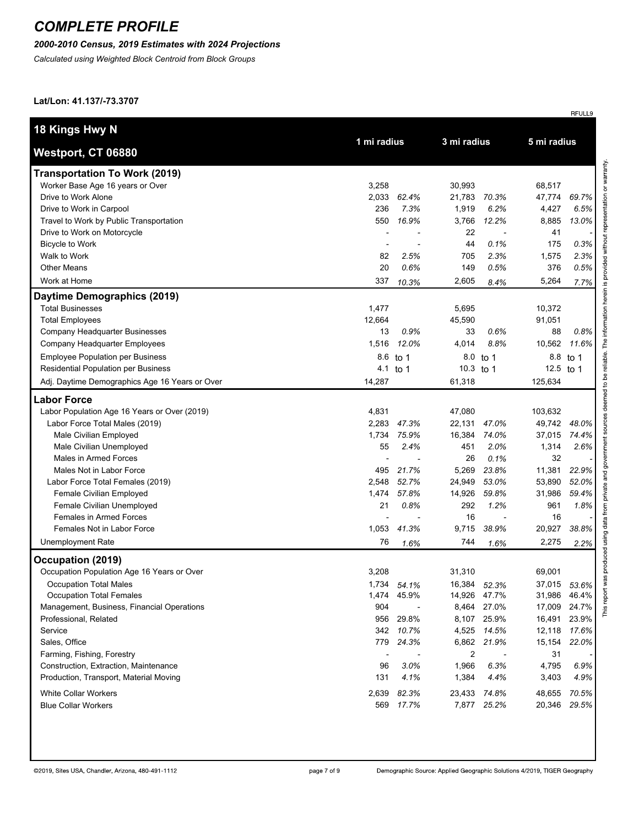### *2000-2010 Census, 2019 Estimates with 2024 Projections*

*Calculated using Weighted Block Centroid from Block Groups*

**Lat/Lon: 41.137/-73.3707**

| 18 Kings Hwy N                                 | 1 mi radius |             |           | 3 mi radius  |              |          |
|------------------------------------------------|-------------|-------------|-----------|--------------|--------------|----------|
| Westport, CT 06880                             |             |             |           |              | 5 mi radius  |          |
| <b>Transportation To Work (2019)</b>           |             |             |           |              |              |          |
| Worker Base Age 16 years or Over               | 3,258       |             | 30,993    |              | 68,517       |          |
| Drive to Work Alone                            | 2,033       | 62.4%       | 21,783    | 70.3%        | 47,774       | 69.7%    |
| Drive to Work in Carpool                       | 236         | 7.3%        | 1,919     | 6.2%         | 4,427        | 6.5%     |
| Travel to Work by Public Transportation        | 550         | 16.9%       | 3,766     | 12.2%        | 8,885        | 13.0%    |
| Drive to Work on Motorcycle                    |             |             | 22        |              | 41           |          |
| <b>Bicycle to Work</b>                         |             |             | 44        | 0.1%         | 175          | 0.3%     |
| Walk to Work                                   | 82          | 2.5%        | 705       | 2.3%         | 1,575        | 2.3%     |
| <b>Other Means</b>                             | 20          | 0.6%        | 149       | 0.5%         | 376          | 0.5%     |
| Work at Home                                   | 337         | 10.3%       | 2,605     | 8.4%         | 5,264        | 7.7%     |
| Daytime Demographics (2019)                    |             |             |           |              |              |          |
| <b>Total Businesses</b>                        | 1,477       |             | 5,695     |              | 10,372       |          |
| <b>Total Employees</b>                         | 12,664      |             | 45,590    |              | 91,051       |          |
| Company Headquarter Businesses                 | 13          | 0.9%        | 33        | 0.6%         | 88           | 0.8%     |
| Company Headquarter Employees                  | 1,516       | 12.0%       | 4,014     | 8.8%         | 10,562       | 11.6%    |
| <b>Employee Population per Business</b>        | 8.6         | to 1        |           | 8.0 to 1     |              | 8.8 to 1 |
| <b>Residential Population per Business</b>     |             | 4.1 to 1    | 10.3 to 1 |              | 12.5 to 1    |          |
| Adj. Daytime Demographics Age 16 Years or Over | 14,287      |             | 61,318    |              | 125,634      |          |
| <b>Labor Force</b>                             |             |             |           |              |              |          |
| Labor Population Age 16 Years or Over (2019)   | 4,831       |             | 47,080    |              | 103,632      |          |
| Labor Force Total Males (2019)                 | 2,283       | 47.3%       | 22,131    | 47.0%        | 49,742       | 48.0%    |
| Male Civilian Employed                         | 1,734       | 75.9%       | 16,384    | 74.0%        | 37,015       | 74.4%    |
| Male Civilian Unemployed                       | 55          | 2.4%        | 451       | 2.0%         | 1,314        | 2.6%     |
| Males in Armed Forces                          |             |             | 26        | 0.1%         | 32           |          |
| Males Not in Labor Force                       | 495         | 21.7%       | 5,269     | 23.8%        | 11,381       | 22.9%    |
| Labor Force Total Females (2019)               | 2,548       | 52.7%       | 24,949    | 53.0%        | 53,890       | 52.0%    |
| Female Civilian Employed                       | 1,474       | 57.8%       | 14,926    | 59.8%        | 31,986       | 59.4%    |
| Female Civilian Unemployed                     | 21          | 0.8%        | 292       | 1.2%         | 961          | 1.8%     |
| Females in Armed Forces                        |             |             | 16        |              | 16           |          |
| Females Not in Labor Force                     | 1,053       | 41.3%       | 9,715     | 38.9%        | 20,927       | 38.8%    |
| <b>Unemployment Rate</b>                       | 76          | 1.6%        | 744       | 1.6%         | 2,275        | 2.2%     |
| Occupation (2019)                              |             |             |           |              |              |          |
| Occupation Population Age 16 Years or Over     | 3,208       |             | 31,310    |              | 69,001       |          |
| Occupation Total Males                         |             | 1,734 54.1% |           | 16,384 52.3% | 37,015 53.6% |          |
| <b>Occupation Total Females</b>                |             | 1,474 45.9% |           | 14,926 47.7% | 31,986 46.4% |          |
| Management, Business, Financial Operations     | 904         |             |           | 8,464 27.0%  | 17,009       | 24.7%    |
| Professional, Related                          | 956         | 29.8%       |           | 8,107 25.9%  | 16,491       | 23.9%    |
| Service                                        |             | 342 10.7%   |           | 4,525 14.5%  | 12,118       | 17.6%    |
| Sales, Office                                  | 779         | 24.3%       | 6,862     | 21.9%        | 15,154       | 22.0%    |
| Farming, Fishing, Forestry                     |             |             | 2         |              | 31           |          |
| Construction, Extraction, Maintenance          | 96          | 3.0%        | 1,966     | 6.3%         | 4,795        | 6.9%     |
| Production, Transport, Material Moving         | 131         | 4.1%        | 1,384     | 4.4%         | 3,403        | 4.9%     |
| <b>White Collar Workers</b>                    | 2,639       | 82.3%       |           | 23,433 74.8% | 48,655       | 70.5%    |
| <b>Blue Collar Workers</b>                     | 569         | 17.7%       |           | 7,877 25.2%  | 20,346       | 29.5%    |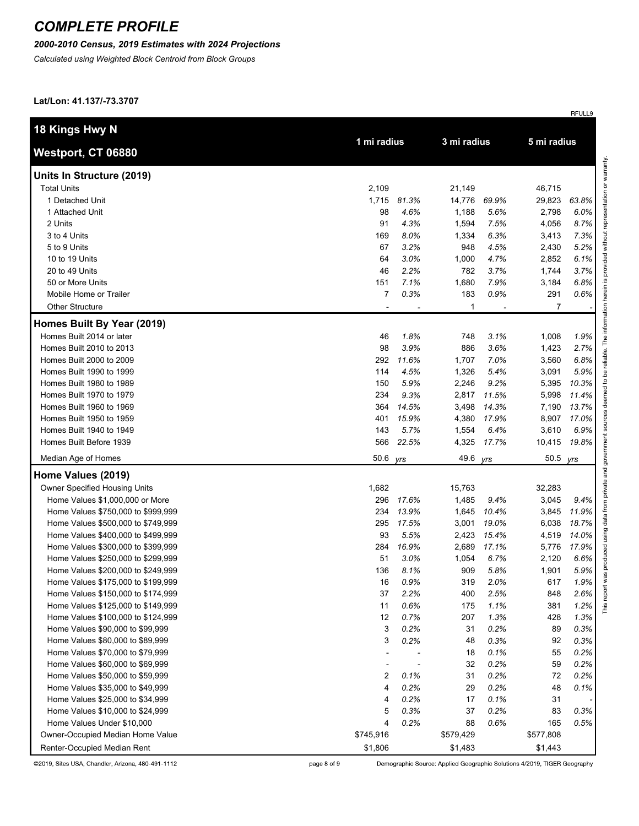#### *2000-2010 Census, 2019 Estimates with 2024 Projections*

*Calculated using Weighted Block Centroid from Block Groups*

**Lat/Lon: 41.137/-73.3707**

| 18 Kings Hwy N                     |                |       |           |             | 5 mi radius    |       |
|------------------------------------|----------------|-------|-----------|-------------|----------------|-------|
| Westport, CT 06880                 | 1 mi radius    |       |           | 3 mi radius |                |       |
| Units In Structure (2019)          |                |       |           |             |                |       |
| <b>Total Units</b>                 | 2,109          |       | 21,149    |             | 46,715         |       |
| 1 Detached Unit                    | 1,715          | 81.3% | 14,776    | 69.9%       | 29,823         | 63.8% |
| 1 Attached Unit                    | 98             | 4.6%  | 1,188     | 5.6%        | 2,798          | 6.0%  |
| 2 Units                            | 91             | 4.3%  | 1,594     | 7.5%        | 4,056          | 8.7%  |
| 3 to 4 Units                       | 169            | 8.0%  | 1,334     | 6.3%        | 3,413          | 7.3%  |
| 5 to 9 Units                       | 67             | 3.2%  | 948       | 4.5%        | 2,430          | 5.2%  |
| 10 to 19 Units                     | 64             | 3.0%  | 1,000     | 4.7%        | 2,852          | 6.1%  |
| 20 to 49 Units                     | 46             | 2.2%  | 782       | 3.7%        | 1,744          | 3.7%  |
| 50 or More Units                   | 151            | 7.1%  | 1,680     | 7.9%        | 3,184          | 6.8%  |
| Mobile Home or Trailer             | $\overline{7}$ | 0.3%  | 183       | 0.9%        | 291            | 0.6%  |
| <b>Other Structure</b>             |                |       | 1         |             | $\overline{7}$ |       |
| Homes Built By Year (2019)         |                |       |           |             |                |       |
| Homes Built 2014 or later          | 46             | 1.8%  | 748       | 3.1%        | 1,008          | 1.9%  |
| Homes Built 2010 to 2013           | 98             | 3.9%  | 886       | 3.6%        | 1,423          | 2.7%  |
| Homes Built 2000 to 2009           | 292            | 11.6% | 1,707     | 7.0%        | 3,560          | 6.8%  |
| Homes Built 1990 to 1999           | 114            | 4.5%  | 1,326     | 5.4%        | 3,091          | 5.9%  |
| Homes Built 1980 to 1989           | 150            | 5.9%  | 2,246     | 9.2%        | 5,395          | 10.3% |
| Homes Built 1970 to 1979           | 234            | 9.3%  | 2,817     | 11.5%       | 5,998          | 11.4% |
| Homes Built 1960 to 1969           | 364            | 14.5% | 3,498     | 14.3%       | 7,190          | 13.7% |
| Homes Built 1950 to 1959           | 401            | 15.9% | 4,380     | 17.9%       | 8,907          | 17.0% |
| Homes Built 1940 to 1949           | 143            | 5.7%  | 1,554     | 6.4%        | 3,610          | 6.9%  |
| Homes Built Before 1939            | 566            | 22.5% | 4,325     | 17.7%       | 10,415         | 19.8% |
| Median Age of Homes                | 50.6           | yrs   | 49.6      | yrs         | 50.5           | yrs   |
| Home Values (2019)                 |                |       |           |             |                |       |
| Owner Specified Housing Units      | 1,682          |       | 15,763    |             | 32,283         |       |
| Home Values \$1,000,000 or More    | 296            | 17.6% | 1,485     | 9.4%        | 3,045          | 9.4%  |
| Home Values \$750,000 to \$999,999 | 234            | 13.9% | 1,645     | 10.4%       | 3,845          | 11.9% |
| Home Values \$500,000 to \$749,999 | 295            | 17.5% | 3,001     | 19.0%       | 6,038          | 18.7% |
| Home Values \$400,000 to \$499,999 | 93             | 5.5%  | 2,423     | 15.4%       | 4,519          | 14.0% |
| Home Values \$300,000 to \$399,999 | 284            | 16.9% | 2,689     | 17.1%       | 5,776          | 17.9% |
| Home Values \$250,000 to \$299,999 | 51             | 3.0%  | 1,054     | 6.7%        | 2,120          | 6.6%  |
| Home Values \$200,000 to \$249,999 | 136            | 8.1%  | 909       | 5.8%        | 1,901          | 5.9%  |
| Home Values \$175,000 to \$199,999 | 16             | 0.9%  | 319       | 2.0%        | 617            | 1.9%  |
| Home Values \$150,000 to \$174,999 | 37             | 2.2%  | 400       | 2.5%        | 848            | 2.6%  |
| Home Values \$125,000 to \$149,999 | 11             | 0.6%  | 175       | 1.1%        | 381            | 1.2%  |
| Home Values \$100,000 to \$124,999 | 12             | 0.7%  | 207       | 1.3%        | 428            | 1.3%  |
| Home Values \$90,000 to \$99,999   | 3              | 0.2%  | 31        | 0.2%        | 89             | 0.3%  |
| Home Values \$80,000 to \$89,999   | 3              | 0.2%  | 48        | 0.3%        | 92             | 0.3%  |
| Home Values \$70,000 to \$79,999   |                |       | 18        | 0.1%        | 55             | 0.2%  |
| Home Values \$60,000 to \$69,999   |                |       | 32        | 0.2%        | 59             | 0.2%  |
| Home Values \$50,000 to \$59,999   | 2              | 0.1%  | 31        | 0.2%        | 72             | 0.2%  |
| Home Values \$35,000 to \$49,999   | 4              | 0.2%  | 29        | 0.2%        | 48             | 0.1%  |
| Home Values \$25,000 to \$34,999   | 4              | 0.2%  | 17        | 0.1%        | 31             |       |
| Home Values \$10,000 to \$24,999   | 5              | 0.3%  | 37        | 0.2%        | 83             | 0.3%  |
| Home Values Under \$10,000         | 4              | 0.2%  | 88        | 0.6%        | 165            | 0.5%  |
| Owner-Occupied Median Home Value   | \$745,916      |       | \$579,429 |             | \$577,808      |       |
| Renter-Occupied Median Rent        | \$1,806        |       | \$1,483   |             | \$1,443        |       |

©2019, Sites USA, Chandler, Arizona, 480-491-1112

page 8 of 9

Demographic Source: Applied Geographic Solutions 4/2019, TIGER Geography